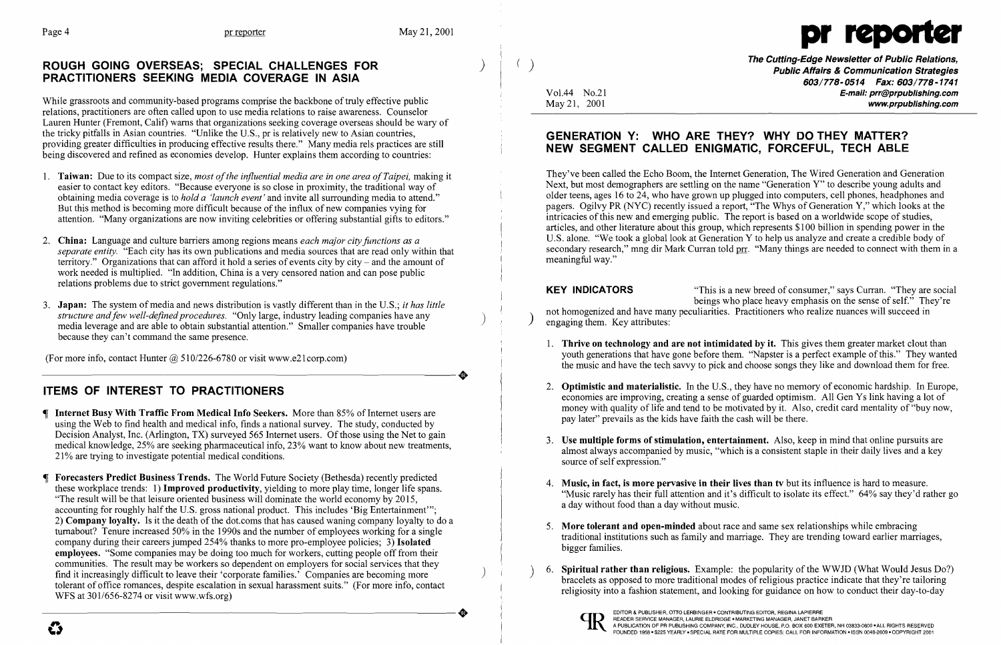# The Cutting-Edge Newsletter of Public Relations,<br>PRACTITIONERS SEEKING MEDIA COVERAGE IN ASIA<br>Fublic Affairs & Communication Strategies<br>Vol.44 No.21 Vol.44 No.21 E-mail: propublishing.com

While grassroots and community-based programs comprise the backbone of truly effective public<br>
relations, practitioners are often called upon to use media relations to raise awareness. Counselor<br>
May 21, 2001 Lauren Hunter (Fremont, Calif) warns that organizations seeking coverage overseas should be wary of the tricky pitfalls in Asian countries. "Unlike the U.S., pr is relatively new to Asian countries, the tricky pitfalls in Asian countries. "Unlike the U.S., pr is relatively new to Asian countries,<br>providing greater difficulties in producing effective results there." Many media rels practices are still **ENTIMENT ANTION** providing greater difficulties in producing effective results there." Many media rels practices are still<br>being discovered and refined as economies develop. Hunter explains them according to countries:<br> **NEW SEGMENT CALLED** 



1. **Thrive on technology and are not intimidated by it.** This gives them greater market clout than youth generations that have gone before them. "Napster is a perfect example of this." They wanted the music and have the tech savvy to pick and choose songs they like and download them for free.

2. **Optimistic and materialistic.** In the U.S., they have no memory of economic hardship. In Europe, economies are improving, creating a sense of guarded optimism. All Gen Ys link having a lot of money with quality of life

1. Taiwan: Due to its compact size, *most of the influential media are in one area of Taipei*, making it<br>They've been called the Echo Boom, the Internet Generation, The Wired Generation and Generation and Generation Next, but most demographers are settling on the name "Generation Y" to describe young adults and easier to contact key editors. "Because everyone is so close in proximity, the traditional way of<br>obtaining media coverage is to hold a 'launch event' and invite all surrounding media to attend." older teens, ages 16 to 24 obtaining media coverage is to *hold a 'launch event'* and invite all surrounding media to attend." 
Obtaining media coverage is to *hold a 'launch event'* and invite all surrounding media to attend." 
Obtaining media cove articles, and other literature about this group, which represents \$100 billion in spending power in the 2. China: Language and culture barriers among regions means *each major city functions as a* U.S. alone. "We took a global look at Generation Y to help us analyze and create a credible body of 2. Separate entity "Fach city meaningful way."

**KEY INDICATORS** "This is a new breed of consumer," says Curran. "They are social<br>beings who place heavy emphasis on the sense of self." They're

- 
- 
- 
- 
- 
- 



- attention. "Many organizations are now inviting celebrities or offering substantial gifts to editors." intricacies of this new and emerging public. The report is based on a worldwide scope of studies,
- separate entity. "Each city has its own publications and media sources that are read only within that territory." Organizations that can afford it hold a series of events city by city - and the amount of work needed is multiplied. "In addition, China is a very censored nation and can pose public relations problems due to strict government regulations."
- 3. **Japan:** The system of media and news distribution is vastly different than in the U.S.; it has little<br>structure and few well-defined procedures. "Only large, industry leading companies have any<br>modia layers and are ab media leverage and are able to obtain substantial attention." Smaller companies have trouble because they can't command the same presence.

(For more info, contact Hunter  $@$  510/226-6780 or visit www.e21corp.com)<br>
TEMS OF INTEREST TO PRACTITIONERS

- Internet Busy With Traffic From Medical Info Seekers. More than 85% of Internet users are<br>using the Web to find health and medical info, finds a national survey. The study, conducted by<br>pay later" prevails as the kids have Decision Analyst, Inc. (Arlington, TX) surveyed 565 Internet users. Of those using the Net to gain medical knowledge, 25% are seeking pharmaceutical info, 23% want to know about new treatments,<br>21% are trying to investigate potential medical conditions.<br>21% are trying to investigate potential medical conditions.
- Forecasters Predict Business Trends. The World Future Society (Bethesda) recently predicted<br>
these workplace trends: 1) Improved productivity, yielding to more play time, longer life spans.<br>
"The result will be that leisur 2) Company loyalty. Is it the death of the dot.coms that has caused waning company loyalty to do a Example to the second start of the deal of the deal of the deal of the deal of the deal of the deal of the deal of the deal of the deal of the deal of the deal of the deal of the deal of the deal of the deal of the deal of communities. The result may be workers so dependent on employers for social services that they<br>
find it increasingly difficult to leave their 'corporate families.' Companies are becoming more<br>
tolerant of office romances, TO READER SERVICE AN INCREASED MANAGER, AND ENGLISHED MANAGER AN INCREDIBLY ON A PUBLISHER, OTO LERBINGER CONTRIBUTING EDITOR, REGINA LAPIERRE CONTRIBUTING EDITOR, REGINAL LAPIERRE CONTRIBUTING EDITOR, REGINAL LAPIERRE CON